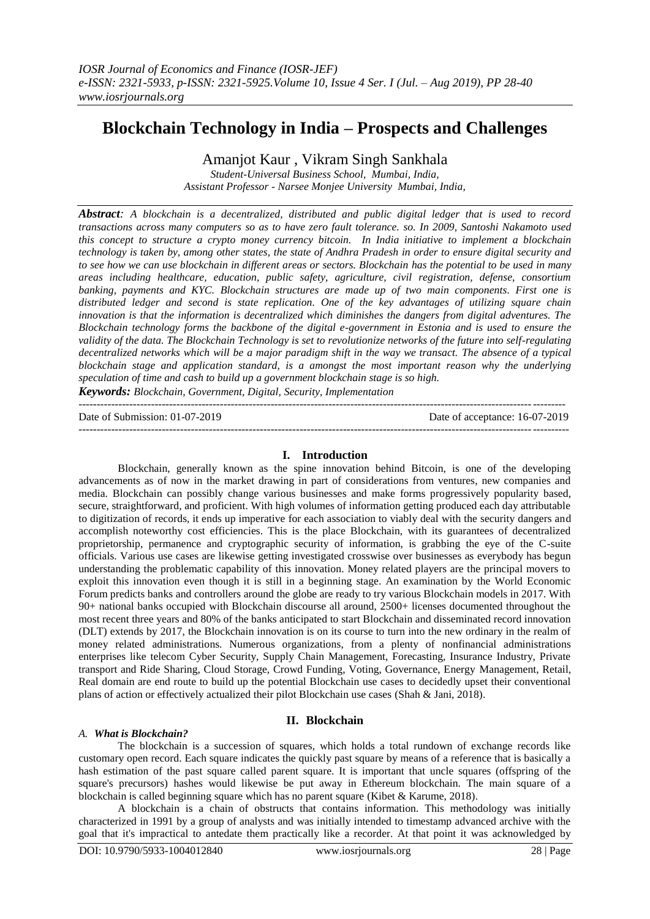# **Blockchain Technology in India – Prospects and Challenges**

Amanjot Kaur , Vikram Singh Sankhala

*Student-Universal Business School, Mumbai, India, Assistant Professor - Narsee Monjee University Mumbai, India,* 

*Abstract: A blockchain is a decentralized, distributed and public digital ledger that is used to record transactions across many computers so as to have zero fault tolerance. so. In 2009, Santoshi Nakamoto used this concept to structure a crypto money currency bitcoin. In India initiative to implement a blockchain technology is taken by, among other states, the state of Andhra Pradesh in order to ensure digital security and to see how we can use blockchain in different areas or sectors. Blockchain has the potential to be used in many areas including healthcare, education, public safety, agriculture, civil registration, defense, consortium banking, payments and KYC. Blockchain structures are made up of two main components. First one is distributed ledger and second is state replication. One of the key advantages of utilizing square chain innovation is that the information is decentralized which diminishes the dangers from digital adventures. The Blockchain technology forms the backbone of the digital e-government in Estonia and is used to ensure the validity of the data. The Blockchain Technology is set to revolutionize networks of the future into self-regulating decentralized networks which will be a major paradigm shift in the way we transact. The absence of a typical blockchain stage and application standard, is a amongst the most important reason why the underlying speculation of time and cash to build up a government blockchain stage is so high.* 

*Keywords: Blockchain, Government, Digital, Security, Implementation*

| Date of Submission: 01-07-2019 | Date of acceptance: 16-07-2019 |
|--------------------------------|--------------------------------|
|                                |                                |

#### **I. Introduction**

Blockchain, generally known as the spine innovation behind Bitcoin, is one of the developing advancements as of now in the market drawing in part of considerations from ventures, new companies and media. Blockchain can possibly change various businesses and make forms progressively popularity based, secure, straightforward, and proficient. With high volumes of information getting produced each day attributable to digitization of records, it ends up imperative for each association to viably deal with the security dangers and accomplish noteworthy cost efficiencies. This is the place Blockchain, with its guarantees of decentralized proprietorship, permanence and cryptographic security of information, is grabbing the eye of the C-suite officials. Various use cases are likewise getting investigated crosswise over businesses as everybody has begun understanding the problematic capability of this innovation. Money related players are the principal movers to exploit this innovation even though it is still in a beginning stage. An examination by the World Economic Forum predicts banks and controllers around the globe are ready to try various Blockchain models in 2017. With 90+ national banks occupied with Blockchain discourse all around, 2500+ licenses documented throughout the most recent three years and 80% of the banks anticipated to start Blockchain and disseminated record innovation (DLT) extends by 2017, the Blockchain innovation is on its course to turn into the new ordinary in the realm of money related administrations. Numerous organizations, from a plenty of nonfinancial administrations enterprises like telecom Cyber Security, Supply Chain Management, Forecasting, Insurance Industry, Private transport and Ride Sharing, Cloud Storage, Crowd Funding, Voting, Governance, Energy Management, Retail, Real domain are end route to build up the potential Blockchain use cases to decidedly upset their conventional plans of action or effectively actualized their pilot Blockchain use cases (Shah & Jani, 2018).

# **II. Blockchain**

#### *A. What is Blockchain?*

The blockchain is a succession of squares, which holds a total rundown of exchange records like customary open record. Each square indicates the quickly past square by means of a reference that is basically a hash estimation of the past square called parent square. It is important that uncle squares (offspring of the square's precursors) hashes would likewise be put away in Ethereum blockchain. The main square of a blockchain is called beginning square which has no parent square (Kibet & Karume, 2018).

A blockchain is a chain of obstructs that contains information. This methodology was initially characterized in 1991 by a group of analysts and was initially intended to timestamp advanced archive with the goal that it's impractical to antedate them practically like a recorder. At that point it was acknowledged by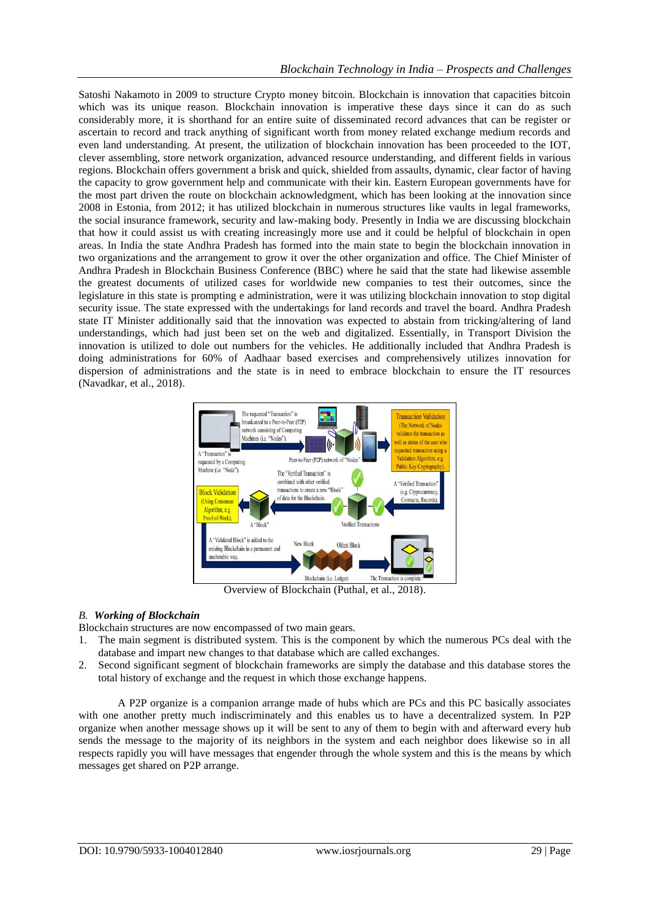Satoshi Nakamoto in 2009 to structure Crypto money bitcoin. Blockchain is innovation that capacities bitcoin which was its unique reason. Blockchain innovation is imperative these days since it can do as such considerably more, it is shorthand for an entire suite of disseminated record advances that can be register or ascertain to record and track anything of significant worth from money related exchange medium records and even land understanding. At present, the utilization of blockchain innovation has been proceeded to the IOT, clever assembling, store network organization, advanced resource understanding, and different fields in various regions. Blockchain offers government a brisk and quick, shielded from assaults, dynamic, clear factor of having the capacity to grow government help and communicate with their kin. Eastern European governments have for the most part driven the route on blockchain acknowledgment, which has been looking at the innovation since 2008 in Estonia, from 2012; it has utilized blockchain in numerous structures like vaults in legal frameworks, the social insurance framework, security and law-making body. Presently in India we are discussing blockchain that how it could assist us with creating increasingly more use and it could be helpful of blockchain in open areas. In India the state Andhra Pradesh has formed into the main state to begin the blockchain innovation in two organizations and the arrangement to grow it over the other organization and office. The Chief Minister of Andhra Pradesh in Blockchain Business Conference (BBC) where he said that the state had likewise assemble the greatest documents of utilized cases for worldwide new companies to test their outcomes, since the legislature in this state is prompting e administration, were it was utilizing blockchain innovation to stop digital security issue. The state expressed with the undertakings for land records and travel the board. Andhra Pradesh state IT Minister additionally said that the innovation was expected to abstain from tricking/altering of land understandings, which had just been set on the web and digitalized. Essentially, in Transport Division the innovation is utilized to dole out numbers for the vehicles. He additionally included that Andhra Pradesh is doing administrations for 60% of Aadhaar based exercises and comprehensively utilizes innovation for dispersion of administrations and the state is in need to embrace blockchain to ensure the IT resources (Navadkar, et al., 2018).



Overview of Blockchain (Puthal, et al., 2018).

# *B. Working of Blockchain*

Blockchain structures are now encompassed of two main gears.

- 1. The main segment is distributed system. This is the component by which the numerous PCs deal with the database and impart new changes to that database which are called exchanges.
- 2. Second significant segment of blockchain frameworks are simply the database and this database stores the total history of exchange and the request in which those exchange happens.

A P2P organize is a companion arrange made of hubs which are PCs and this PC basically associates with one another pretty much indiscriminately and this enables us to have a decentralized system. In P2P organize when another message shows up it will be sent to any of them to begin with and afterward every hub sends the message to the majority of its neighbors in the system and each neighbor does likewise so in all respects rapidly you will have messages that engender through the whole system and this is the means by which messages get shared on P2P arrange.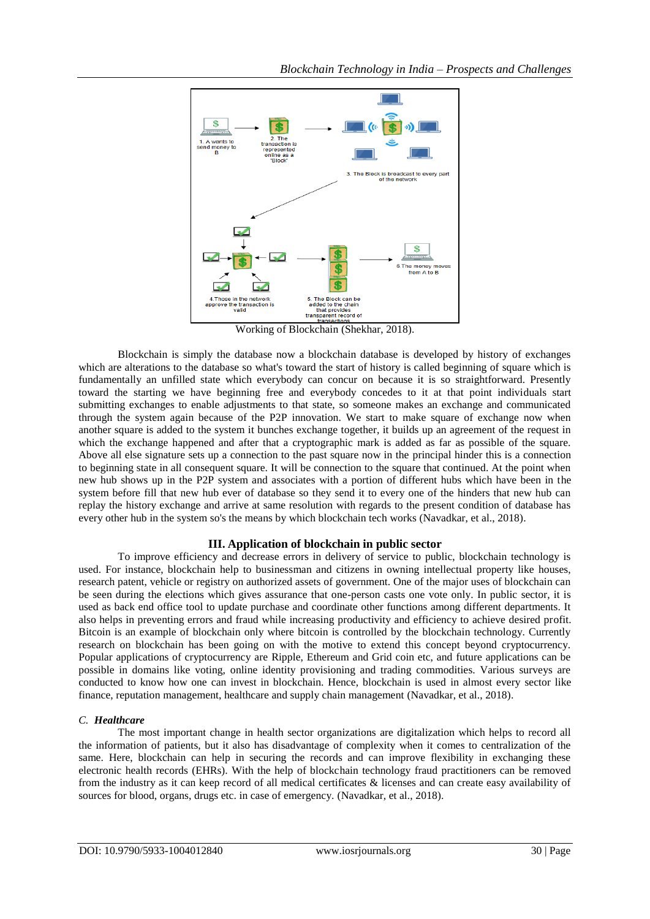

Working of Blockchain (Shekhar, 2018).

Blockchain is simply the database now a blockchain database is developed by history of exchanges which are alterations to the database so what's toward the start of history is called beginning of square which is fundamentally an unfilled state which everybody can concur on because it is so straightforward. Presently toward the starting we have beginning free and everybody concedes to it at that point individuals start submitting exchanges to enable adjustments to that state, so someone makes an exchange and communicated through the system again because of the P2P innovation. We start to make square of exchange now when another square is added to the system it bunches exchange together, it builds up an agreement of the request in which the exchange happened and after that a cryptographic mark is added as far as possible of the square. Above all else signature sets up a connection to the past square now in the principal hinder this is a connection to beginning state in all consequent square. It will be connection to the square that continued. At the point when new hub shows up in the P2P system and associates with a portion of different hubs which have been in the system before fill that new hub ever of database so they send it to every one of the hinders that new hub can replay the history exchange and arrive at same resolution with regards to the present condition of database has every other hub in the system so's the means by which blockchain tech works (Navadkar, et al., 2018).

# **III. Application of blockchain in public sector**

To improve efficiency and decrease errors in delivery of service to public, blockchain technology is used. For instance, blockchain help to businessman and citizens in owning intellectual property like houses, research patent, vehicle or registry on authorized assets of government. One of the major uses of blockchain can be seen during the elections which gives assurance that one-person casts one vote only. In public sector, it is used as back end office tool to update purchase and coordinate other functions among different departments. It also helps in preventing errors and fraud while increasing productivity and efficiency to achieve desired profit. Bitcoin is an example of blockchain only where bitcoin is controlled by the blockchain technology. Currently research on blockchain has been going on with the motive to extend this concept beyond cryptocurrency. Popular applications of cryptocurrency are Ripple, Ethereum and Grid coin etc, and future applications can be possible in domains like voting, online identity provisioning and trading commodities. Various surveys are conducted to know how one can invest in blockchain. Hence, blockchain is used in almost every sector like finance, reputation management, healthcare and supply chain management (Navadkar, et al., 2018).

# *C. Healthcare*

The most important change in health sector organizations are digitalization which helps to record all the information of patients, but it also has disadvantage of complexity when it comes to centralization of the same. Here, blockchain can help in securing the records and can improve flexibility in exchanging these electronic health records (EHRs). With the help of blockchain technology fraud practitioners can be removed from the industry as it can keep record of all medical certificates & licenses and can create easy availability of sources for blood, organs, drugs etc. in case of emergency. (Navadkar, et al., 2018).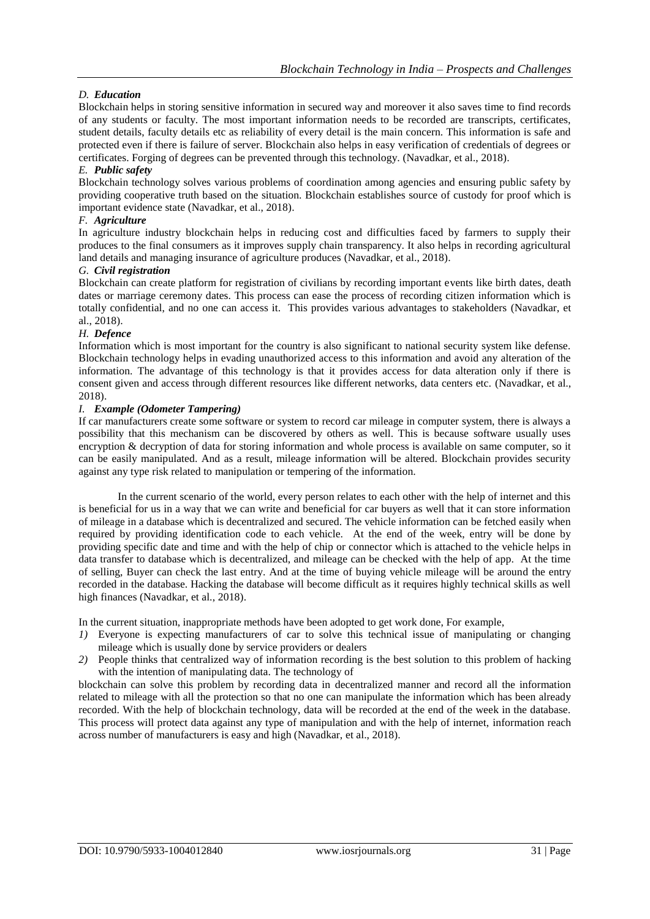# *D. Education*

Blockchain helps in storing sensitive information in secured way and moreover it also saves time to find records of any students or faculty. The most important information needs to be recorded are transcripts, certificates, student details, faculty details etc as reliability of every detail is the main concern. This information is safe and protected even if there is failure of server. Blockchain also helps in easy verification of credentials of degrees or certificates. Forging of degrees can be prevented through this technology. (Navadkar, et al., 2018).

### *E. Public safety*

Blockchain technology solves various problems of coordination among agencies and ensuring public safety by providing cooperative truth based on the situation. Blockchain establishes source of custody for proof which is important evidence state (Navadkar, et al., 2018).

#### *F. Agriculture*

In agriculture industry blockchain helps in reducing cost and difficulties faced by farmers to supply their produces to the final consumers as it improves supply chain transparency. It also helps in recording agricultural land details and managing insurance of agriculture produces (Navadkar, et al., 2018).

#### *G. Civil registration*

Blockchain can create platform for registration of civilians by recording important events like birth dates, death dates or marriage ceremony dates. This process can ease the process of recording citizen information which is totally confidential, and no one can access it. This provides various advantages to stakeholders (Navadkar, et al., 2018).

#### *H. Defence*

Information which is most important for the country is also significant to national security system like defense. Blockchain technology helps in evading unauthorized access to this information and avoid any alteration of the information. The advantage of this technology is that it provides access for data alteration only if there is consent given and access through different resources like different networks, data centers etc. (Navadkar, et al., 2018).

#### *I. Example (Odometer Tampering)*

If car manufacturers create some software or system to record car mileage in computer system, there is always a possibility that this mechanism can be discovered by others as well. This is because software usually uses encryption & decryption of data for storing information and whole process is available on same computer, so it can be easily manipulated. And as a result, mileage information will be altered. Blockchain provides security against any type risk related to manipulation or tempering of the information.

In the current scenario of the world, every person relates to each other with the help of internet and this is beneficial for us in a way that we can write and beneficial for car buyers as well that it can store information of mileage in a database which is decentralized and secured. The vehicle information can be fetched easily when required by providing identification code to each vehicle. At the end of the week, entry will be done by providing specific date and time and with the help of chip or connector which is attached to the vehicle helps in data transfer to database which is decentralized, and mileage can be checked with the help of app. At the time of selling, Buyer can check the last entry. And at the time of buying vehicle mileage will be around the entry recorded in the database. Hacking the database will become difficult as it requires highly technical skills as well high finances (Navadkar, et al., 2018).

In the current situation, inappropriate methods have been adopted to get work done, For example,

- *1)* Everyone is expecting manufacturers of car to solve this technical issue of manipulating or changing mileage which is usually done by service providers or dealers
- *2)* People thinks that centralized way of information recording is the best solution to this problem of hacking with the intention of manipulating data. The technology of

blockchain can solve this problem by recording data in decentralized manner and record all the information related to mileage with all the protection so that no one can manipulate the information which has been already recorded. With the help of blockchain technology, data will be recorded at the end of the week in the database. This process will protect data against any type of manipulation and with the help of internet, information reach across number of manufacturers is easy and high (Navadkar, et al., 2018).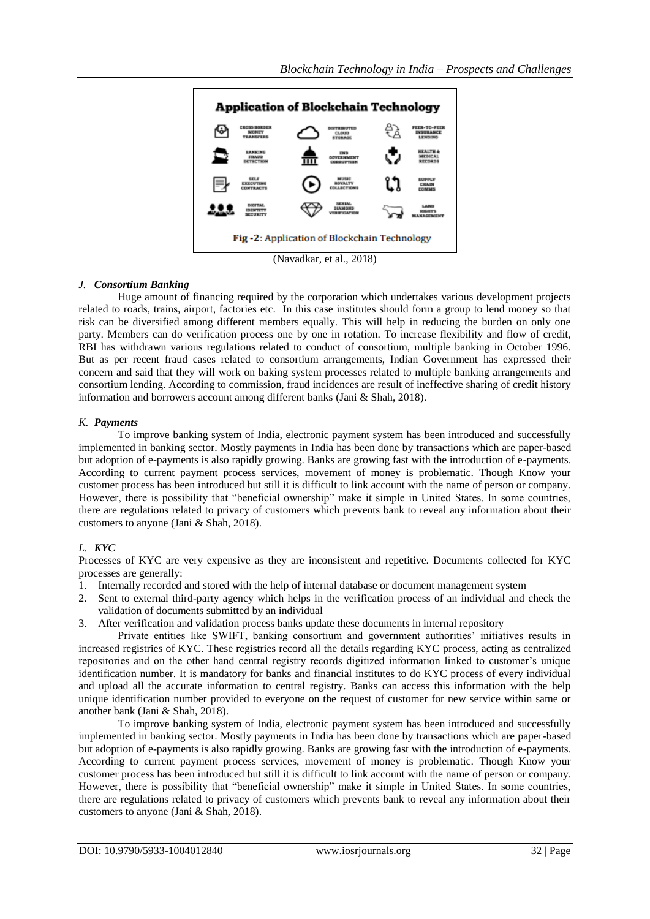

(Navadkar, et al., 2018)

# *J. Consortium Banking*

Huge amount of financing required by the corporation which undertakes various development projects related to roads, trains, airport, factories etc. In this case institutes should form a group to lend money so that risk can be diversified among different members equally. This will help in reducing the burden on only one party. Members can do verification process one by one in rotation. To increase flexibility and flow of credit, RBI has withdrawn various regulations related to conduct of consortium, multiple banking in October 1996. But as per recent fraud cases related to consortium arrangements, Indian Government has expressed their concern and said that they will work on baking system processes related to multiple banking arrangements and consortium lending. According to commission, fraud incidences are result of ineffective sharing of credit history information and borrowers account among different banks (Jani & Shah, 2018).

# *K. Payments*

To improve banking system of India, electronic payment system has been introduced and successfully implemented in banking sector. Mostly payments in India has been done by transactions which are paper-based but adoption of e-payments is also rapidly growing. Banks are growing fast with the introduction of e-payments. According to current payment process services, movement of money is problematic. Though Know your customer process has been introduced but still it is difficult to link account with the name of person or company. However, there is possibility that "beneficial ownership" make it simple in United States. In some countries, there are regulations related to privacy of customers which prevents bank to reveal any information about their customers to anyone (Jani & Shah, 2018).

# *L. KYC*

Processes of KYC are very expensive as they are inconsistent and repetitive. Documents collected for KYC processes are generally:

- 1. Internally recorded and stored with the help of internal database or document management system
- 2. Sent to external third-party agency which helps in the verification process of an individual and check the validation of documents submitted by an individual
- 3. After verification and validation process banks update these documents in internal repository

Private entities like SWIFT, banking consortium and government authorities' initiatives results in increased registries of KYC. These registries record all the details regarding KYC process, acting as centralized repositories and on the other hand central registry records digitized information linked to customer"s unique identification number. It is mandatory for banks and financial institutes to do KYC process of every individual and upload all the accurate information to central registry. Banks can access this information with the help unique identification number provided to everyone on the request of customer for new service within same or another bank (Jani & Shah, 2018).

To improve banking system of India, electronic payment system has been introduced and successfully implemented in banking sector. Mostly payments in India has been done by transactions which are paper-based but adoption of e-payments is also rapidly growing. Banks are growing fast with the introduction of e-payments. According to current payment process services, movement of money is problematic. Though Know your customer process has been introduced but still it is difficult to link account with the name of person or company. However, there is possibility that "beneficial ownership" make it simple in United States. In some countries, there are regulations related to privacy of customers which prevents bank to reveal any information about their customers to anyone (Jani & Shah, 2018).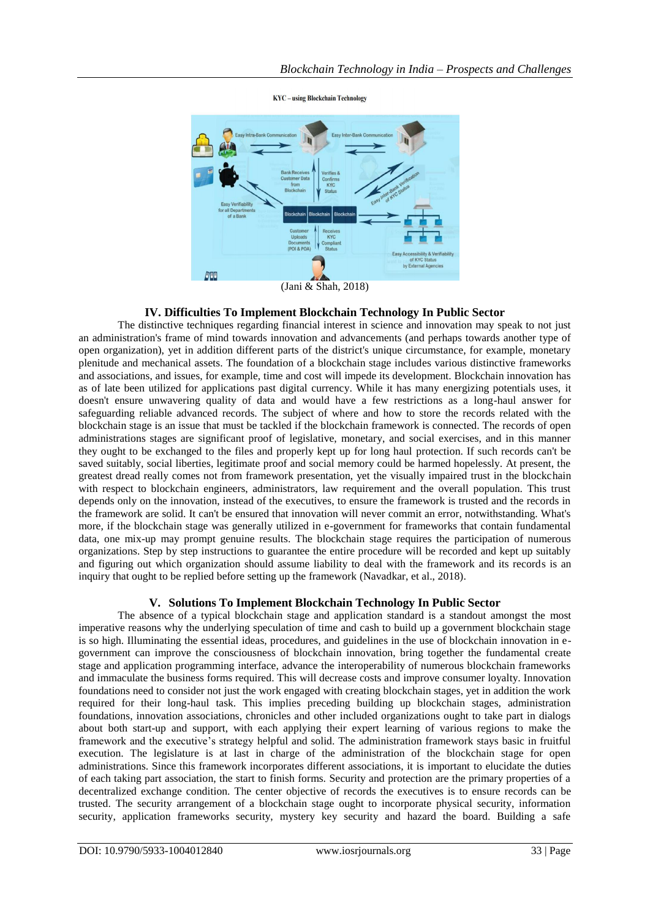

**KYC** - using Blockchain Technology

#### **IV. Difficulties To Implement Blockchain Technology In Public Sector**

The distinctive techniques regarding financial interest in science and innovation may speak to not just an administration's frame of mind towards innovation and advancements (and perhaps towards another type of open organization), yet in addition different parts of the district's unique circumstance, for example, monetary plenitude and mechanical assets. The foundation of a blockchain stage includes various distinctive frameworks and associations, and issues, for example, time and cost will impede its development. Blockchain innovation has as of late been utilized for applications past digital currency. While it has many energizing potentials uses, it doesn't ensure unwavering quality of data and would have a few restrictions as a long-haul answer for safeguarding reliable advanced records. The subject of where and how to store the records related with the blockchain stage is an issue that must be tackled if the blockchain framework is connected. The records of open administrations stages are significant proof of legislative, monetary, and social exercises, and in this manner they ought to be exchanged to the files and properly kept up for long haul protection. If such records can't be saved suitably, social liberties, legitimate proof and social memory could be harmed hopelessly. At present, the greatest dread really comes not from framework presentation, yet the visually impaired trust in the blockchain with respect to blockchain engineers, administrators, law requirement and the overall population. This trust depends only on the innovation, instead of the executives, to ensure the framework is trusted and the records in the framework are solid. It can't be ensured that innovation will never commit an error, notwithstanding. What's more, if the blockchain stage was generally utilized in e-government for frameworks that contain fundamental data, one mix-up may prompt genuine results. The blockchain stage requires the participation of numerous organizations. Step by step instructions to guarantee the entire procedure will be recorded and kept up suitably and figuring out which organization should assume liability to deal with the framework and its records is an inquiry that ought to be replied before setting up the framework (Navadkar, et al., 2018).

# **V. Solutions To Implement Blockchain Technology In Public Sector**

The absence of a typical blockchain stage and application standard is a standout amongst the most imperative reasons why the underlying speculation of time and cash to build up a government blockchain stage is so high. Illuminating the essential ideas, procedures, and guidelines in the use of blockchain innovation in egovernment can improve the consciousness of blockchain innovation, bring together the fundamental create stage and application programming interface, advance the interoperability of numerous blockchain frameworks and immaculate the business forms required. This will decrease costs and improve consumer loyalty. Innovation foundations need to consider not just the work engaged with creating blockchain stages, yet in addition the work required for their long-haul task. This implies preceding building up blockchain stages, administration foundations, innovation associations, chronicles and other included organizations ought to take part in dialogs about both start-up and support, with each applying their expert learning of various regions to make the framework and the executive"s strategy helpful and solid. The administration framework stays basic in fruitful execution. The legislature is at last in charge of the administration of the blockchain stage for open administrations. Since this framework incorporates different associations, it is important to elucidate the duties of each taking part association, the start to finish forms. Security and protection are the primary properties of a decentralized exchange condition. The center objective of records the executives is to ensure records can be trusted. The security arrangement of a blockchain stage ought to incorporate physical security, information security, application frameworks security, mystery key security and hazard the board. Building a safe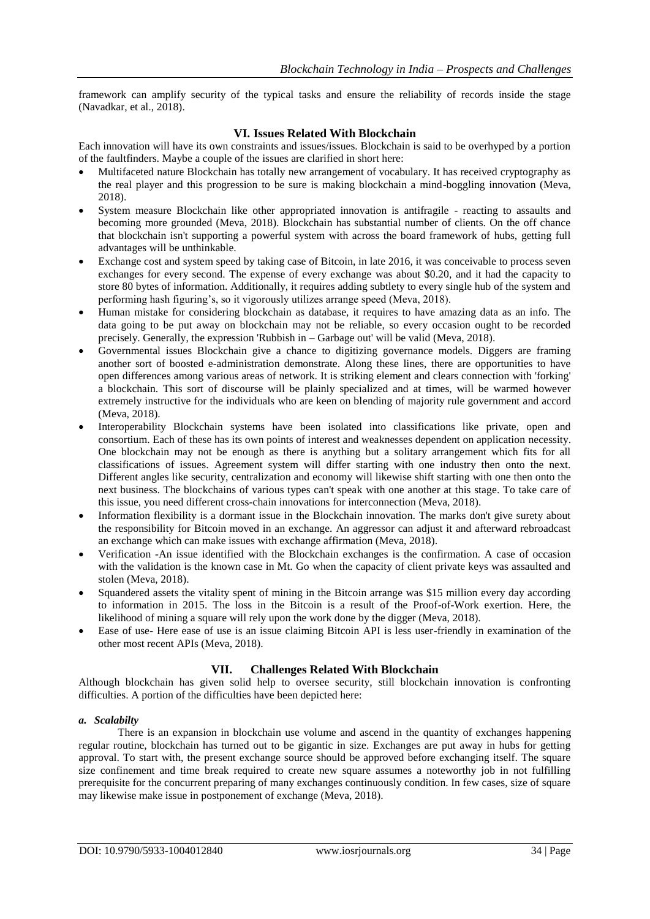framework can amplify security of the typical tasks and ensure the reliability of records inside the stage (Navadkar, et al., 2018).

### **VI. Issues Related With Blockchain**

Each innovation will have its own constraints and issues/issues. Blockchain is said to be overhyped by a portion of the faultfinders. Maybe a couple of the issues are clarified in short here:

- Multifaceted nature Blockchain has totally new arrangement of vocabulary. It has received cryptography as the real player and this progression to be sure is making blockchain a mind-boggling innovation (Meva, 2018).
- System measure Blockchain like other appropriated innovation is antifragile reacting to assaults and becoming more grounded (Meva, 2018). Blockchain has substantial number of clients. On the off chance that blockchain isn't supporting a powerful system with across the board framework of hubs, getting full advantages will be unthinkable.
- Exchange cost and system speed by taking case of Bitcoin, in late 2016, it was conceivable to process seven exchanges for every second. The expense of every exchange was about \$0.20, and it had the capacity to store 80 bytes of information. Additionally, it requires adding subtlety to every single hub of the system and performing hash figuring"s, so it vigorously utilizes arrange speed (Meva, 2018).
- Human mistake for considering blockchain as database, it requires to have amazing data as an info. The data going to be put away on blockchain may not be reliable, so every occasion ought to be recorded precisely. Generally, the expression 'Rubbish in – Garbage out' will be valid (Meva, 2018).
- Governmental issues Blockchain give a chance to digitizing governance models. Diggers are framing another sort of boosted e-administration demonstrate. Along these lines, there are opportunities to have open differences among various areas of network. It is striking element and clears connection with 'forking' a blockchain. This sort of discourse will be plainly specialized and at times, will be warmed however extremely instructive for the individuals who are keen on blending of majority rule government and accord (Meva, 2018).
- Interoperability Blockchain systems have been isolated into classifications like private, open and consortium. Each of these has its own points of interest and weaknesses dependent on application necessity. One blockchain may not be enough as there is anything but a solitary arrangement which fits for all classifications of issues. Agreement system will differ starting with one industry then onto the next. Different angles like security, centralization and economy will likewise shift starting with one then onto the next business. The blockchains of various types can't speak with one another at this stage. To take care of this issue, you need different cross-chain innovations for interconnection (Meva, 2018).
- Information flexibility is a dormant issue in the Blockchain innovation. The marks don't give surety about the responsibility for Bitcoin moved in an exchange. An aggressor can adjust it and afterward rebroadcast an exchange which can make issues with exchange affirmation (Meva, 2018).
- Verification -An issue identified with the Blockchain exchanges is the confirmation. A case of occasion with the validation is the known case in Mt. Go when the capacity of client private keys was assaulted and stolen (Meva, 2018).
- Squandered assets the vitality spent of mining in the Bitcoin arrange was \$15 million every day according to information in 2015. The loss in the Bitcoin is a result of the Proof-of-Work exertion. Here, the likelihood of mining a square will rely upon the work done by the digger (Meva, 2018).
- Ease of use- Here ease of use is an issue claiming Bitcoin API is less user-friendly in examination of the other most recent APIs (Meva, 2018).

#### **VII. Challenges Related With Blockchain**

Although blockchain has given solid help to oversee security, still blockchain innovation is confronting difficulties. A portion of the difficulties have been depicted here:

#### *a. Scalabilty*

There is an expansion in blockchain use volume and ascend in the quantity of exchanges happening regular routine, blockchain has turned out to be gigantic in size. Exchanges are put away in hubs for getting approval. To start with, the present exchange source should be approved before exchanging itself. The square size confinement and time break required to create new square assumes a noteworthy job in not fulfilling prerequisite for the concurrent preparing of many exchanges continuously condition. In few cases, size of square may likewise make issue in postponement of exchange (Meva, 2018).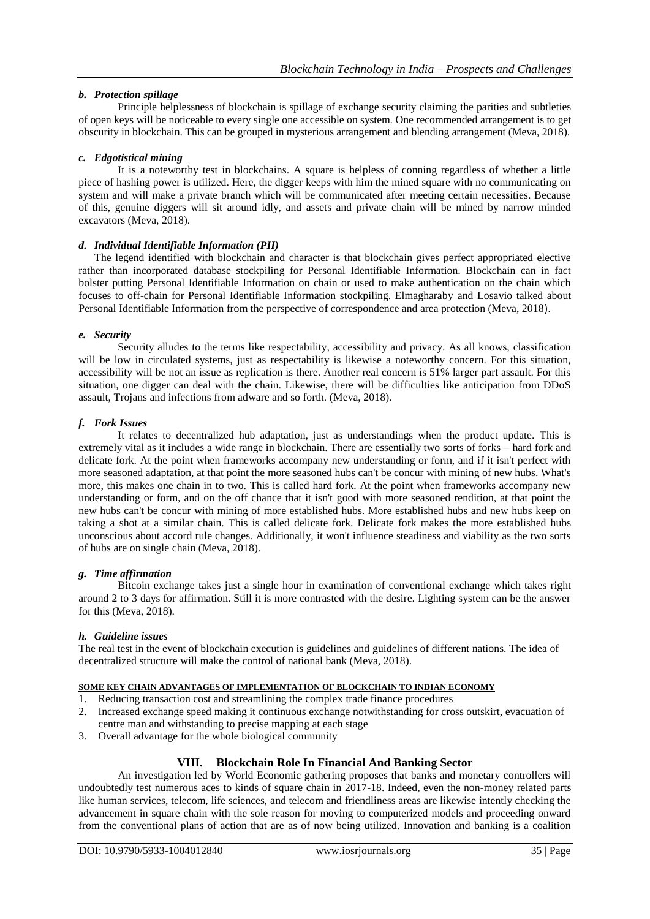# *b. Protection spillage*

Principle helplessness of blockchain is spillage of exchange security claiming the parities and subtleties of open keys will be noticeable to every single one accessible on system. One recommended arrangement is to get obscurity in blockchain. This can be grouped in mysterious arrangement and blending arrangement (Meva, 2018).

#### *c. Edgotistical mining*

It is a noteworthy test in blockchains. A square is helpless of conning regardless of whether a little piece of hashing power is utilized. Here, the digger keeps with him the mined square with no communicating on system and will make a private branch which will be communicated after meeting certain necessities. Because of this, genuine diggers will sit around idly, and assets and private chain will be mined by narrow minded excavators (Meva, 2018).

#### *d. Individual Identifiable Information (PII)*

The legend identified with blockchain and character is that blockchain gives perfect appropriated elective rather than incorporated database stockpiling for Personal Identifiable Information. Blockchain can in fact bolster putting Personal Identifiable Information on chain or used to make authentication on the chain which focuses to off-chain for Personal Identifiable Information stockpiling. Elmagharaby and Losavio talked about Personal Identifiable Information from the perspective of correspondence and area protection (Meva, 2018).

#### *e. Security*

Security alludes to the terms like respectability, accessibility and privacy. As all knows, classification will be low in circulated systems, just as respectability is likewise a noteworthy concern. For this situation, accessibility will be not an issue as replication is there. Another real concern is 51% larger part assault. For this situation, one digger can deal with the chain. Likewise, there will be difficulties like anticipation from DDoS assault, Trojans and infections from adware and so forth. (Meva, 2018).

#### *f. Fork Issues*

It relates to decentralized hub adaptation, just as understandings when the product update. This is extremely vital as it includes a wide range in blockchain. There are essentially two sorts of forks – hard fork and delicate fork. At the point when frameworks accompany new understanding or form, and if it isn't perfect with more seasoned adaptation, at that point the more seasoned hubs can't be concur with mining of new hubs. What's more, this makes one chain in to two. This is called hard fork. At the point when frameworks accompany new understanding or form, and on the off chance that it isn't good with more seasoned rendition, at that point the new hubs can't be concur with mining of more established hubs. More established hubs and new hubs keep on taking a shot at a similar chain. This is called delicate fork. Delicate fork makes the more established hubs unconscious about accord rule changes. Additionally, it won't influence steadiness and viability as the two sorts of hubs are on single chain (Meva, 2018).

#### *g. Time affirmation*

Bitcoin exchange takes just a single hour in examination of conventional exchange which takes right around 2 to 3 days for affirmation. Still it is more contrasted with the desire. Lighting system can be the answer for this (Meva, 2018).

#### *h. Guideline issues*

The real test in the event of blockchain execution is guidelines and guidelines of different nations. The idea of decentralized structure will make the control of national bank (Meva, 2018).

### **SOME KEY CHAIN ADVANTAGES OF IMPLEMENTATION OF BLOCKCHAIN TO INDIAN ECONOMY**

- 1. Reducing transaction cost and streamlining the complex trade finance procedures
- 2. Increased exchange speed making it continuous exchange notwithstanding for cross outskirt, evacuation of centre man and withstanding to precise mapping at each stage
- 3. Overall advantage for the whole biological community

# **VIII. Blockchain Role In Financial And Banking Sector**

An investigation led by World Economic gathering proposes that banks and monetary controllers will undoubtedly test numerous aces to kinds of square chain in 2017-18. Indeed, even the non-money related parts like human services, telecom, life sciences, and telecom and friendliness areas are likewise intently checking the advancement in square chain with the sole reason for moving to computerized models and proceeding onward from the conventional plans of action that are as of now being utilized. Innovation and banking is a coalition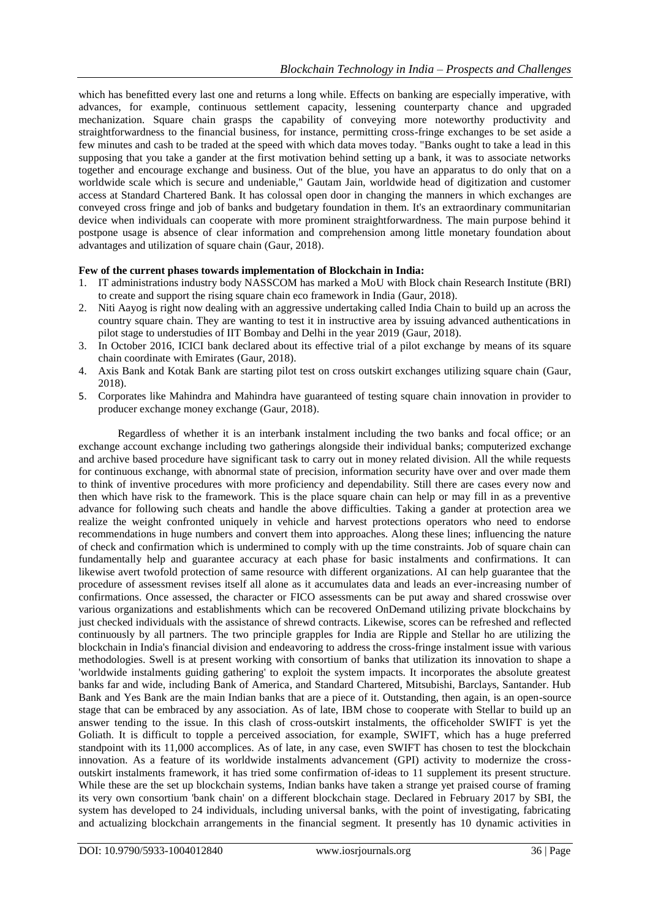which has benefitted every last one and returns a long while. Effects on banking are especially imperative, with advances, for example, continuous settlement capacity, lessening counterparty chance and upgraded mechanization. Square chain grasps the capability of conveying more noteworthy productivity and straightforwardness to the financial business, for instance, permitting cross-fringe exchanges to be set aside a few minutes and cash to be traded at the speed with which data moves today. "Banks ought to take a lead in this supposing that you take a gander at the first motivation behind setting up a bank, it was to associate networks together and encourage exchange and business. Out of the blue, you have an apparatus to do only that on a worldwide scale which is secure and undeniable," Gautam Jain, worldwide head of digitization and customer access at Standard Chartered Bank. It has colossal open door in changing the manners in which exchanges are conveyed cross fringe and job of banks and budgetary foundation in them. It's an extraordinary communitarian device when individuals can cooperate with more prominent straightforwardness. The main purpose behind it postpone usage is absence of clear information and comprehension among little monetary foundation about advantages and utilization of square chain (Gaur, 2018).

# **Few of the current phases towards implementation of Blockchain in India:**

- 1. IT administrations industry body NASSCOM has marked a MoU with Block chain Research Institute (BRI) to create and support the rising square chain eco framework in India (Gaur, 2018).
- 2. Niti Aayog is right now dealing with an aggressive undertaking called India Chain to build up an across the country square chain. They are wanting to test it in instructive area by issuing advanced authentications in pilot stage to understudies of IIT Bombay and Delhi in the year 2019 (Gaur, 2018).
- 3. In October 2016, ICICI bank declared about its effective trial of a pilot exchange by means of its square chain coordinate with Emirates (Gaur, 2018).
- 4. Axis Bank and Kotak Bank are starting pilot test on cross outskirt exchanges utilizing square chain (Gaur, 2018).
- 5. Corporates like Mahindra and Mahindra have guaranteed of testing square chain innovation in provider to producer exchange money exchange (Gaur, 2018).

Regardless of whether it is an interbank instalment including the two banks and focal office; or an exchange account exchange including two gatherings alongside their individual banks; computerized exchange and archive based procedure have significant task to carry out in money related division. All the while requests for continuous exchange, with abnormal state of precision, information security have over and over made them to think of inventive procedures with more proficiency and dependability. Still there are cases every now and then which have risk to the framework. This is the place square chain can help or may fill in as a preventive advance for following such cheats and handle the above difficulties. Taking a gander at protection area we realize the weight confronted uniquely in vehicle and harvest protections operators who need to endorse recommendations in huge numbers and convert them into approaches. Along these lines; influencing the nature of check and confirmation which is undermined to comply with up the time constraints. Job of square chain can fundamentally help and guarantee accuracy at each phase for basic instalments and confirmations. It can likewise avert twofold protection of same resource with different organizations. AI can help guarantee that the procedure of assessment revises itself all alone as it accumulates data and leads an ever-increasing number of confirmations. Once assessed, the character or FICO assessments can be put away and shared crosswise over various organizations and establishments which can be recovered OnDemand utilizing private blockchains by just checked individuals with the assistance of shrewd contracts. Likewise, scores can be refreshed and reflected continuously by all partners. The two principle grapples for India are Ripple and Stellar ho are utilizing the blockchain in India's financial division and endeavoring to address the cross-fringe instalment issue with various methodologies. Swell is at present working with consortium of banks that utilization its innovation to shape a 'worldwide instalments guiding gathering' to exploit the system impacts. It incorporates the absolute greatest banks far and wide, including Bank of America, and Standard Chartered, Mitsubishi, Barclays, Santander. Hub Bank and Yes Bank are the main Indian banks that are a piece of it. Outstanding, then again, is an open-source stage that can be embraced by any association. As of late, IBM chose to cooperate with Stellar to build up an answer tending to the issue. In this clash of cross-outskirt instalments, the officeholder SWIFT is yet the Goliath. It is difficult to topple a perceived association, for example, SWIFT, which has a huge preferred standpoint with its 11,000 accomplices. As of late, in any case, even SWIFT has chosen to test the blockchain innovation. As a feature of its worldwide instalments advancement (GPI) activity to modernize the crossoutskirt instalments framework, it has tried some confirmation of-ideas to 11 supplement its present structure. While these are the set up blockchain systems, Indian banks have taken a strange yet praised course of framing its very own consortium 'bank chain' on a different blockchain stage. Declared in February 2017 by SBI, the system has developed to 24 individuals, including universal banks, with the point of investigating, fabricating and actualizing blockchain arrangements in the financial segment. It presently has 10 dynamic activities in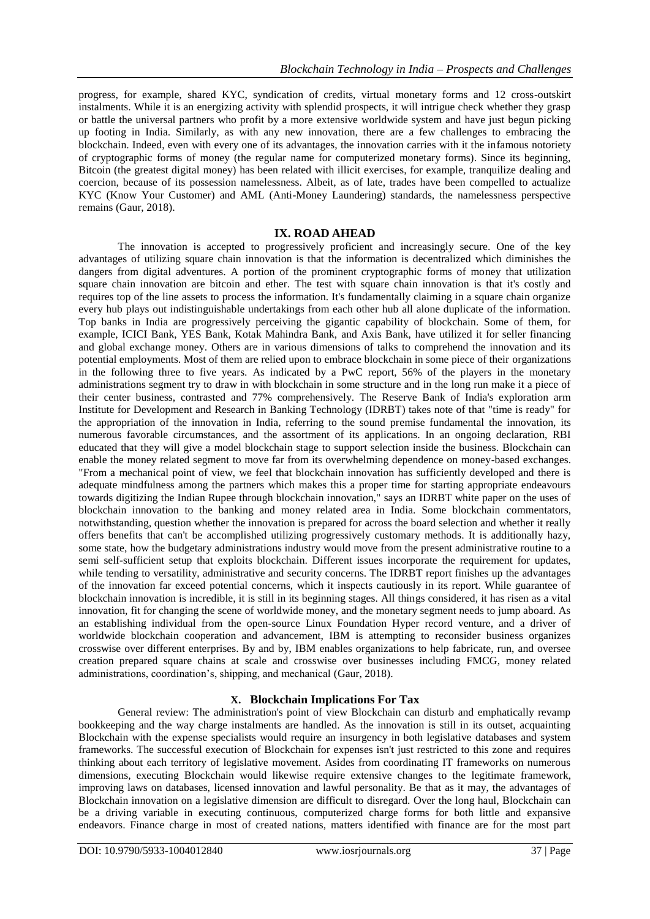progress, for example, shared KYC, syndication of credits, virtual monetary forms and 12 cross-outskirt instalments. While it is an energizing activity with splendid prospects, it will intrigue check whether they grasp or battle the universal partners who profit by a more extensive worldwide system and have just begun picking up footing in India. Similarly, as with any new innovation, there are a few challenges to embracing the blockchain. Indeed, even with every one of its advantages, the innovation carries with it the infamous notoriety of cryptographic forms of money (the regular name for computerized monetary forms). Since its beginning, Bitcoin (the greatest digital money) has been related with illicit exercises, for example, tranquilize dealing and coercion, because of its possession namelessness. Albeit, as of late, trades have been compelled to actualize KYC (Know Your Customer) and AML (Anti-Money Laundering) standards, the namelessness perspective remains (Gaur, 2018).

#### **IX. ROAD AHEAD**

The innovation is accepted to progressively proficient and increasingly secure. One of the key advantages of utilizing square chain innovation is that the information is decentralized which diminishes the dangers from digital adventures. A portion of the prominent cryptographic forms of money that utilization square chain innovation are bitcoin and ether. The test with square chain innovation is that it's costly and requires top of the line assets to process the information. It's fundamentally claiming in a square chain organize every hub plays out indistinguishable undertakings from each other hub all alone duplicate of the information. Top banks in India are progressively perceiving the gigantic capability of blockchain. Some of them, for example, ICICI Bank, YES Bank, Kotak Mahindra Bank, and Axis Bank, have utilized it for seller financing and global exchange money. Others are in various dimensions of talks to comprehend the innovation and its potential employments. Most of them are relied upon to embrace blockchain in some piece of their organizations in the following three to five years. As indicated by a PwC report, 56% of the players in the monetary administrations segment try to draw in with blockchain in some structure and in the long run make it a piece of their center business, contrasted and 77% comprehensively. The Reserve Bank of India's exploration arm Institute for Development and Research in Banking Technology (IDRBT) takes note of that "time is ready" for the appropriation of the innovation in India, referring to the sound premise fundamental the innovation, its numerous favorable circumstances, and the assortment of its applications. In an ongoing declaration, RBI educated that they will give a model blockchain stage to support selection inside the business. Blockchain can enable the money related segment to move far from its overwhelming dependence on money-based exchanges. "From a mechanical point of view, we feel that blockchain innovation has sufficiently developed and there is adequate mindfulness among the partners which makes this a proper time for starting appropriate endeavours towards digitizing the Indian Rupee through blockchain innovation," says an IDRBT white paper on the uses of blockchain innovation to the banking and money related area in India. Some blockchain commentators, notwithstanding, question whether the innovation is prepared for across the board selection and whether it really offers benefits that can't be accomplished utilizing progressively customary methods. It is additionally hazy, some state, how the budgetary administrations industry would move from the present administrative routine to a semi self-sufficient setup that exploits blockchain. Different issues incorporate the requirement for updates, while tending to versatility, administrative and security concerns. The IDRBT report finishes up the advantages of the innovation far exceed potential concerns, which it inspects cautiously in its report. While guarantee of blockchain innovation is incredible, it is still in its beginning stages. All things considered, it has risen as a vital innovation, fit for changing the scene of worldwide money, and the monetary segment needs to jump aboard. As an establishing individual from the open-source Linux Foundation Hyper record venture, and a driver of worldwide blockchain cooperation and advancement, IBM is attempting to reconsider business organizes crosswise over different enterprises. By and by, IBM enables organizations to help fabricate, run, and oversee creation prepared square chains at scale and crosswise over businesses including FMCG, money related administrations, coordination"s, shipping, and mechanical (Gaur, 2018).

# **X. Blockchain Implications For Tax**

General review: The administration's point of view Blockchain can disturb and emphatically revamp bookkeeping and the way charge instalments are handled. As the innovation is still in its outset, acquainting Blockchain with the expense specialists would require an insurgency in both legislative databases and system frameworks. The successful execution of Blockchain for expenses isn't just restricted to this zone and requires thinking about each territory of legislative movement. Asides from coordinating IT frameworks on numerous dimensions, executing Blockchain would likewise require extensive changes to the legitimate framework, improving laws on databases, licensed innovation and lawful personality. Be that as it may, the advantages of Blockchain innovation on a legislative dimension are difficult to disregard. Over the long haul, Blockchain can be a driving variable in executing continuous, computerized charge forms for both little and expansive endeavors. Finance charge in most of created nations, matters identified with finance are for the most part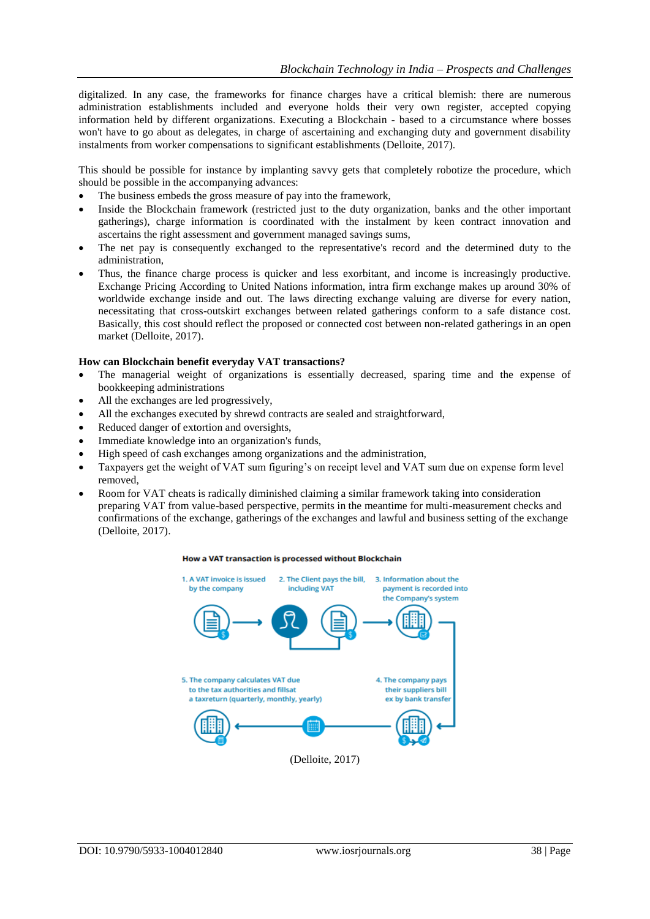digitalized. In any case, the frameworks for finance charges have a critical blemish: there are numerous administration establishments included and everyone holds their very own register, accepted copying information held by different organizations. Executing a Blockchain - based to a circumstance where bosses won't have to go about as delegates, in charge of ascertaining and exchanging duty and government disability instalments from worker compensations to significant establishments (Delloite, 2017).

This should be possible for instance by implanting savvy gets that completely robotize the procedure, which should be possible in the accompanying advances:

- The business embeds the gross measure of pay into the framework,
- Inside the Blockchain framework (restricted just to the duty organization, banks and the other important gatherings), charge information is coordinated with the instalment by keen contract innovation and ascertains the right assessment and government managed savings sums,
- The net pay is consequently exchanged to the representative's record and the determined duty to the administration,
- Thus, the finance charge process is quicker and less exorbitant, and income is increasingly productive. Exchange Pricing According to United Nations information, intra firm exchange makes up around 30% of worldwide exchange inside and out. The laws directing exchange valuing are diverse for every nation, necessitating that cross-outskirt exchanges between related gatherings conform to a safe distance cost. Basically, this cost should reflect the proposed or connected cost between non-related gatherings in an open market (Delloite, 2017).

#### **How can Blockchain benefit everyday VAT transactions?**

- The managerial weight of organizations is essentially decreased, sparing time and the expense of bookkeeping administrations
- All the exchanges are led progressively,
- All the exchanges executed by shrewd contracts are sealed and straightforward,
- Reduced danger of extortion and oversights,
- Immediate knowledge into an organization's funds,
- High speed of cash exchanges among organizations and the administration,
- Taxpayers get the weight of VAT sum figuring's on receipt level and VAT sum due on expense form level removed,
- Room for VAT cheats is radically diminished claiming a similar framework taking into consideration preparing VAT from value-based perspective, permits in the meantime for multi-measurement checks and confirmations of the exchange, gatherings of the exchanges and lawful and business setting of the exchange (Delloite, 2017).

#### How a VAT transaction is processed without Blockchain

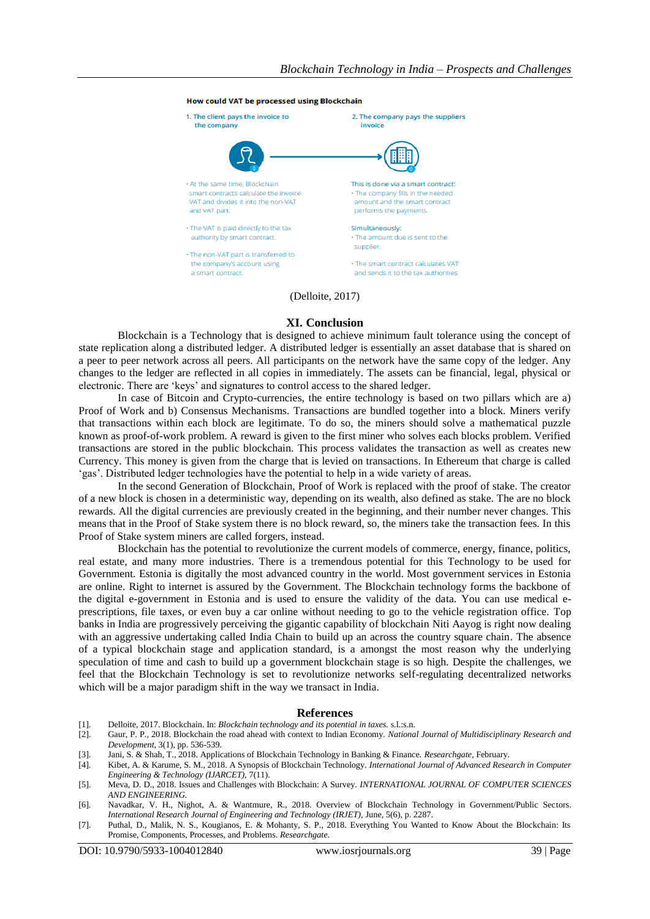#### **How could VAT be processed using Blockchain**



#### (Delloite, 2017)

#### **XI. Conclusion**

Blockchain is a Technology that is designed to achieve minimum fault tolerance using the concept of state replication along a distributed ledger. A distributed ledger is essentially an asset database that is shared on a peer to peer network across all peers. All participants on the network have the same copy of the ledger. Any changes to the ledger are reflected in all copies in immediately. The assets can be financial, legal, physical or electronic. There are "keys" and signatures to control access to the shared ledger.

In case of Bitcoin and Crypto-currencies, the entire technology is based on two pillars which are a) Proof of Work and b) Consensus Mechanisms. Transactions are bundled together into a block. Miners verify that transactions within each block are legitimate. To do so, the miners should solve a mathematical puzzle known as proof-of-work problem. A reward is given to the first miner who solves each blocks problem. Verified transactions are stored in the public blockchain. This process validates the transaction as well as creates new Currency. This money is given from the charge that is levied on transactions. In Ethereum that charge is called "gas". Distributed ledger technologies have the potential to help in a wide variety of areas.

In the second Generation of Blockchain, Proof of Work is replaced with the proof of stake. The creator of a new block is chosen in a deterministic way, depending on its wealth, also defined as stake. The are no block rewards. All the digital currencies are previously created in the beginning, and their number never changes. This means that in the Proof of Stake system there is no block reward, so, the miners take the transaction fees. In this Proof of Stake system miners are called forgers, instead.

Blockchain has the potential to revolutionize the current models of commerce, energy, finance, politics, real estate, and many more industries. There is a tremendous potential for this Technology to be used for Government. Estonia is digitally the most advanced country in the world. Most government services in Estonia are online. Right to internet is assured by the Government. The Blockchain technology forms the backbone of the digital e-government in Estonia and is used to ensure the validity of the data. You can use medical eprescriptions, file taxes, or even buy a car online without needing to go to the vehicle registration office. Top banks in India are progressively perceiving the gigantic capability of blockchain Niti Aayog is right now dealing with an aggressive undertaking called India Chain to build up an across the country square chain. The absence of a typical blockchain stage and application standard, is a amongst the most reason why the underlying speculation of time and cash to build up a government blockchain stage is so high. Despite the challenges, we feel that the Blockchain Technology is set to revolutionize networks self-regulating decentralized networks which will be a major paradigm shift in the way we transact in India.

#### **References**

- [1]. Delloite, 2017. Blockchain. In: *Blockchain technology and its potential in taxes.* s.l.:s.n.
- [2]. Gaur, P. P., 2018. Blockchain the road ahead with context to Indian Economy. *National Journal of Multidisciplinary Research and Development,* 3(1), pp. 536-539.
- [3]. Jani, S. & Shah, T., 2018. Applications of Blockchain Technology in Banking & Finance. *Researchgate,* February.
- [4]. Kibet, A. & Karume, S. M., 2018. A Synopsis of Blockchain Technology. *International Journal of Advanced Research in Computer Engineering & Technology (IJARCET),* 7(11).
- [5]. Meva, D. D., 2018. Issues and Challenges with Blockchain: A Survey. *INTERNATIONAL JOURNAL OF COMPUTER SCIENCES AND ENGINEERING.*
- [6]. Navadkar, V. H., Nighot, A. & Wantmure, R., 2018. Overview of Blockchain Technology in Government/Public Sectors. *International Research Journal of Engineering and Technology (IRJET),* June, 5(6), p. 2287.
- [7]. Puthal, D., Malik, N. S., Kougianos, E. & Mohanty, S. P., 2018. Everything You Wanted to Know About the Blockchain: Its Promise, Components, Processes, and Problems. *Researchgate.*